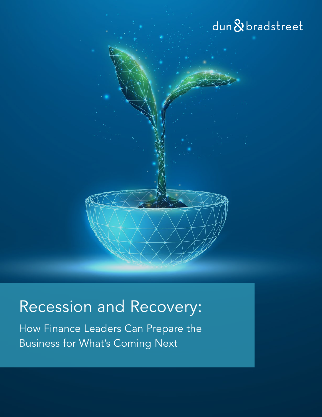## dun & bradstreet



# Recession and Recovery:

How Finance Leaders Can Prepare the Business for What's Coming Next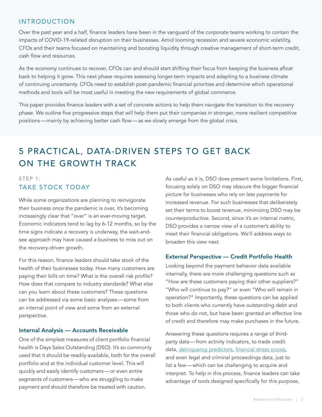## INTRODUCTION

Over the past year and a half, finance leaders have been in the vanguard of the corporate teams working to contain the impacts of COVID-19-related disruption on their businesses. Amid looming recession and severe economic volatility, CFOs and their teams focused on maintaining and boosting liquidity through creative management of short-term credit, cash flow and resources.

As the economy continues to recover, CFOs can and should start shifting their focus from keeping the business afloat back to helping it grow. This next phase requires assessing longer-term impacts and adapting to a business climate of continuing uncertainty. CFOs need to establish post-pandemic financial priorities and determine which operational methods and tools will be most useful in meeting the new requirements of global commerce.

This paper provides finance leaders with a set of concrete actions to help them navigate the transition to the recovery phase. We outline five progressive steps that will help them put their companies in stronger, more resilient competitive positions—mainly by achieving better cash flow—as we slowly emerge from the global crisis.

## 5 PRACTICAL, DATA-DRIVEN STEPS TO GET BACK ON THE GROWTH TRACK

## STEP 1: TAKE STOCK TODAY

While some organizations are planning to reinvigorate their business once the pandemic is over, it's becoming increasingly clear that "over" is an ever-moving target. Economic indicators tend to lag by 6-12 months, so by the time signs indicate a recovery is underway, the wait-andsee approach may have caused a business to miss out on the recovery-driven growth.

For this reason, finance leaders should take stock of the health of their businesses today. How many customers are paying their bills on time? What is the overall risk profile? How does that compare to industry standards? What else can you learn about these customers? These questions can be addressed via some basic analyses—some from an internal point of view and some from an external perspective.

#### Internal Analysis — Accounts Receivable

One of the simplest measures of client portfolio financial health is Days Sales Outstanding (DSO). It's so commonly used that it should be readily available, both for the overall portfolio and at the individual customer level. This will quickly and easily identify customers—or even entire segments of customers—who are struggling to make payment and should therefore be treated with caution.

As useful as it is, DSO does present some limitations. First, focusing solely on DSO may obscure the bigger financial picture for businesses who rely on late payments for increased revenue. For such businesses that deliberately set their terms to boost revenue, minimizing DSO may be counterproductive. Second, since it's an internal metric, DSO provides a narrow view of a customer's ability to meet their financial obligations. We'll address ways to broaden this view next.

#### External Perspective — Credit Portfolio Health

Looking beyond the payment behavior data available internally, there are more challenging questions such as "How are these customers paying their other suppliers?" "Who will continue to pay?" or even "Who will remain in operation?" Importantly, these questions can be applied to both clients who currently have outstanding debt and those who do not, but have been granted an effective line of credit and therefore may make purchases in the future.

Answering these questions requires a range of thirdparty data—from activity indicators, to trade credit data, [delinquency predictors,](https://www.dnb.com/resources/delinquency-predictor-score.html) [financial stress scores,](https://www.dnb.com/resources/financial-stress-score-definition-information.html) and even legal and criminal proceedings data, just to list a few—which can be challenging to acquire and interpret. To help in this process, finance leaders can take advantage of tools designed specifically for this purpose,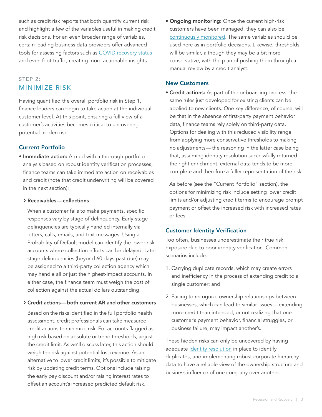such as credit risk reports that both quantify current risk and highlight a few of the variables useful in making credit risk decisions. For an even broader range of variables, certain leading business data providers offer advanced tools for assessing factors such as [COVID recovery status](https://www.dnb.com/marketing/media/covid-19-impact-index.html) and even foot traffic, creating more actionable insights.

## STEP 2: MINIMIZE RISK

Having quantified the overall portfolio risk in Step 1, finance leaders can begin to take action at the individual customer level. At this point, ensuring a full view of a customer's activities becomes critical to uncovering potential hidden risk.

## Current Portfolio

• Immediate action: Armed with a thorough portfolio analysis based on robust identity verification processes, finance teams can take immediate action on receivables and credit (note that credit underwriting will be covered in the next section):

#### › Receivables—collections

When a customer fails to make payments, specific responses vary by stage of delinquency. Early-stage delinquencies are typically handled internally via letters, calls, emails, and text messages. Using a Probability of Default model can identify the lower-risk accounts where collection efforts can be delayed. Latestage delinquencies (beyond 60 days past due) may be assigned to a third-party collection agency which may handle all or just the highest-impact accounts. In either case, the finance team must weigh the cost of collection against the actual dollars outstanding.

#### › Credit actions—both current AR and other customers

Based on the risks identified in the full portfolio health assessment, credit professionals can take measured credit actions to minimize risk. For accounts flagged as high risk based on absolute or trend thresholds, adjust the credit limit. As we'll discuss later, this action should weigh the risk against potential lost revenue. As an alternative to lower credit limits, it's possible to mitigate risk by updating credit terms. Options include raising the early pay discount and/or raising interest rates to offset an account's increased predicted default risk.

• Ongoing monitoring: Once the current high-risk customers have been managed, they can also be [continuously monitored](https://financeandrisk.hubs.vidyard.com/watch/dSCCbvq5V6zyJ11dairote). The same variables should be used here as in portfolio decisions. Likewise, thresholds will be similar, although they may be a bit more conservative, with the plan of pushing them through a manual review by a credit analyst.

## New Customers

• Credit actions: As part of the onboarding process, the same rules just developed for existing clients can be applied to new clients. One key difference, of course, will be that in the absence of first-party payment behavior data, finance teams rely solely on third-party data. Options for dealing with this reduced visibility range from applying more conservative thresholds to making no adjustments—the reasoning in the latter case being that, assuming identity resolution successfully returned the right enrichment, external data tends to be more complete and therefore a fuller representation of the risk.

As before (see the "Current Portfolio" section), the options for minimizing risk include setting lower credit limits and/or adjusting credit terms to encourage prompt payment or offset the increased risk with increased rates or fees.

## Customer Identity Verification

Too often, businesses underestimate their true risk exposure due to poor identity verification. Common scenarios include:

- 1. Carrying duplicate records, which may create errors and inefficiency in the process of extending credit to a single customer; and
- 2. Failing to recognize ownership relationships between businesses, which can lead to similar issues—extending more credit than intended, or not realizing that one customer's payment behavior, financial struggles, or business failure, may impact another's.

These hidden risks can only be uncovered by having adequate [identity resolution](https://salesandmarketing.hubs.vidyard.com/watch/CZVpjcMgwnHbZoxUxku7Wi) in place to identify duplicates, and implementing robust corporate hierarchy data to have a reliable view of the ownership structure and business influence of one company over another.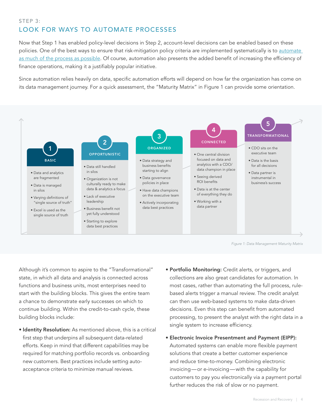## STEP 3: LOOK FOR WAYS TO AUTOMATE PROCESSES

Now that Step 1 has enabled policy-level decisions in Step 2, account-level decisions can be enabled based on these policies. One of the best ways to ensure that risk-mitigation policy criteria are implemented systematically is to automate [as much of the process as possible](https://www.dnb.com/resources/automation-risk-management.html). Of course, automation also presents the added benefit of increasing the efficiency of finance operations, making it a justifiably popular initiative.

Since automation relies heavily on data, specific automation efforts will depend on how far the organization has come on its data management journey. For a quick assessment, the "Maturity Matrix" in Figure 1 can provide some orientation.



*Figure 1: Data Management Maturity Matrix*

Although it's common to aspire to the "Transformational" state, in which all data and analysis is connected across functions and business units, most enterprises need to start with the building blocks. This gives the entire team a chance to demonstrate early successes on which to continue building. Within the credit-to-cash cycle, these building blocks include:

- **Identity Resolution:** As mentioned above, this is a critical first step that underpins all subsequent data-related efforts. Keep in mind that different capabilities may be required for matching portfolio records vs. onboarding new customers. Best practices include setting autoacceptance criteria to minimize manual reviews.
- Portfolio Monitoring: Credit alerts, or triggers, and collections are also great candidates for automation. In most cases, rather than automating the full process, rulebased alerts trigger a manual review. The credit analyst can then use web-based systems to make data-driven decisions. Even this step can benefit from automated processing, to present the analyst with the right data in a single system to increase efficiency.
- Electronic Invoice Presentment and Payment (EIPP): Automated systems can enable more flexible payment solutions that create a better customer experience and reduce time-to-money. Combining electronic invoicing—or e-invoicing—with the capability for customers to pay you electronically via a payment portal further reduces the risk of slow or no payment.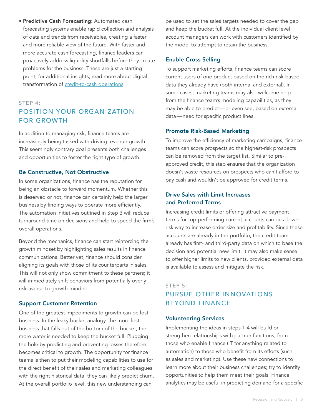• Predictive Cash Forecasting: Automated cash forecasting systems enable rapid collection and analysis of data and trends from receivables, creating a faster and more reliable view of the future. With faster and more accurate cash forecasting, finance leaders can proactively address liquidity shortfalls before they create problems for the business. These are just a starting point; for additional insights, read more about digital transformation of [credit-to-cash operations.](https://www.dnb.com/content/dam/english/dnb-solutions/credit-to-cash-ebook.pdf)

## STEP 4: POSITION YOUR ORGANIZATION FOR GROWTH

In addition to managing risk, finance teams are increasingly being tasked with driving revenue growth. This seemingly contrary goal presents both challenges and opportunities to foster the right type of growth.

#### Be Constructive, Not Obstructive

In some organizations, finance has the reputation for being an obstacle to forward momentum. Whether this is deserved or not, finance can certainly help the larger business by finding ways to operate more efficiently. The automation initiatives outlined in Step 3 will reduce turnaround time on decisions and help to speed the firm's overall operations.

Beyond the mechanics, finance can start reinforcing the growth mindset by highlighting sales results in finance communications. Better yet, finance should consider aligning its goals with those of its counterparts in sales. This will not only show commitment to these partners; it will immediately shift behaviors from potentially overly risk-averse to growth-minded.

## Support Customer Retention

One of the greatest impediments to growth can be lost business. In the leaky bucket analogy, the more lost business that falls out of the bottom of the bucket, the more water is needed to keep the bucket full. Plugging the hole by predicting and preventing losses therefore becomes critical to growth. The opportunity for finance teams is then to put their modeling capabilities to use for the direct benefit of their sales and marketing colleagues: with the right historical data, they can likely predict churn. At the overall portfolio level, this new understanding can

be used to set the sales targets needed to cover the gap and keep the bucket full. At the individual client level, account managers can work with customers identified by the model to attempt to retain the business.

#### Enable Cross-Selling

To support marketing efforts, finance teams can score current users of one product based on the rich risk-based data they already have (both internal and external). In some cases, marketing teams may also welcome help from the finance team's modeling capabilities, as they may be able to predict—or even see, based on external data—need for specific product lines.

#### Promote Risk-Based Marketing

To improve the efficiency of marketing campaigns, finance teams can score prospects so the highest-risk prospects can be removed from the target list. Similar to preapproved credit, this step ensures that the organization doesn't waste resources on prospects who can't afford to pay cash and wouldn't be approved for credit terms.

## Drive Sales with Limit Increases and Preferred Terms

Increasing credit limits or offering attractive payment terms for top-performing current accounts can be a lowerrisk way to increase order size and profitability. Since these accounts are already in the portfolio, the credit team already has first- and third-party data on which to base the decision and potential new limit. It may also make sense to offer higher limits to new clients, provided external data is available to assess and mitigate the risk.

#### STEP 5:

## PURSUE OTHER INNOVATIONS BEYOND FINANCE

#### Volunteering Services

Implementing the ideas in steps 1-4 will build or strengthen relationships with partner functions, from those who enable finance (IT for anything related to automation) to those who benefit from its efforts (such as sales and marketing). Use these new connections to learn more about their business challenges; try to identify opportunities to help them meet their goals. Finance analytics may be useful in predicting demand for a specific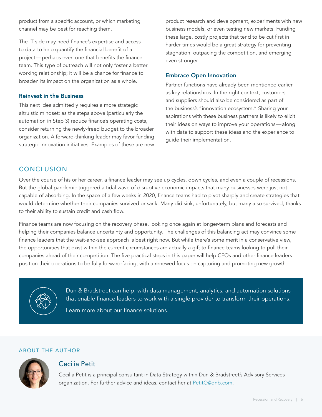product from a specific account, or which marketing channel may be best for reaching them.

The IT side may need finance's expertise and access to data to help quantify the financial benefit of a project—perhaps even one that benefits the finance team. This type of outreach will not only foster a better working relationship; it will be a chance for finance to broaden its impact on the organization as a whole.

#### Reinvest in the Business

This next idea admittedly requires a more strategic altruistic mindset: as the steps above (particularly the automation in Step 3) reduce finance's operating costs, consider returning the newly-freed budget to the broader organization. A forward-thinking leader may favor funding strategic innovation initiatives. Examples of these are new product research and development, experiments with new business models, or even testing new markets. Funding these large, costly projects that tend to be cut first in harder times would be a great strategy for preventing stagnation, outpacing the competition, and emerging even stronger.

#### Embrace Open Innovation

Partner functions have already been mentioned earlier as key relationships. In the right context, customers and suppliers should also be considered as part of the business's "innovation ecosystem." Sharing your aspirations with these business partners is likely to elicit their ideas on ways to improve your operations—along with data to support these ideas and the experience to guide their implementation.

## **CONCLUSION**

Over the course of his or her career, a finance leader may see up cycles, down cycles, and even a couple of recessions. But the global pandemic triggered a tidal wave of disruptive economic impacts that many businesses were just not capable of absorbing. In the space of a few weeks in 2020, finance teams had to pivot sharply and create strategies that would determine whether their companies survived or sank. Many did sink, unfortunately, but many also survived, thanks to their ability to sustain credit and cash flow.

Finance teams are now focusing on the recovery phase, looking once again at longer-term plans and forecasts and helping their companies balance uncertainty and opportunity. The challenges of this balancing act may convince some finance leaders that the wait-and-see approach is best right now. But while there's some merit in a conservative view, the opportunities that exist within the current circumstances are actually a gift to finance teams looking to pull their companies ahead of their competition. The five practical steps in this paper will help CFOs and other finance leaders position their operations to be fully forward-facing, with a renewed focus on capturing and promoting new growth.



Dun & Bradstreet can help, with data management, analytics, and automation solutions that enable finance leaders to work with a single provider to transform their operations.

Learn more about [our finance solutions](https://www.dnb.com/products/finance-credit-risk/dnb-finance-analytics.html).

#### ABOUT THE AUTHOR



## Cecilia Petit

Cecilia Petit is a principal consultant in Data Strategy within Dun & Bradstreet's Advisory Services organization. For further advice and ideas, contact her at [PetitC@dnb.com](mailto:PetitC@dnb.com).